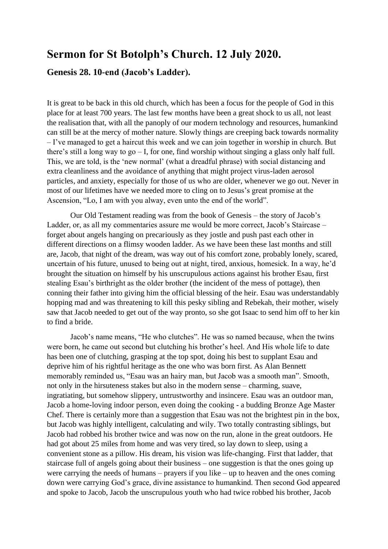## **Sermon for St Botolph's Church. 12 July 2020.**

## **Genesis 28. 10-end (Jacob's Ladder).**

It is great to be back in this old church, which has been a focus for the people of God in this place for at least 700 years. The last few months have been a great shock to us all, not least the realisation that, with all the panoply of our modern technology and resources, humankind can still be at the mercy of mother nature. Slowly things are creeping back towards normality – I've managed to get a haircut this week and we can join together in worship in church. But there's still a long way to go  $- I$ , for one, find worship without singing a glass only half full. This, we are told, is the 'new normal' (what a dreadful phrase) with social distancing and extra cleanliness and the avoidance of anything that might project virus-laden aerosol particles, and anxiety, especially for those of us who are older, whenever we go out. Never in most of our lifetimes have we needed more to cling on to Jesus's great promise at the Ascension, "Lo, I am with you alway, even unto the end of the world".

Our Old Testament reading was from the book of Genesis – the story of Jacob's Ladder, or, as all my commentaries assure me would be more correct, Jacob's Staircase – forget about angels hanging on precariously as they jostle and push past each other in different directions on a flimsy wooden ladder. As we have been these last months and still are, Jacob, that night of the dream, was way out of his comfort zone, probably lonely, scared, uncertain of his future, unused to being out at night, tired, anxious, homesick. In a way, he'd brought the situation on himself by his unscrupulous actions against his brother Esau, first stealing Esau's birthright as the older brother (the incident of the mess of pottage), then conning their father into giving him the official blessing of the heir. Esau was understandably hopping mad and was threatening to kill this pesky sibling and Rebekah, their mother, wisely saw that Jacob needed to get out of the way pronto, so she got Isaac to send him off to her kin to find a bride.

Jacob's name means, "He who clutches". He was so named because, when the twins were born, he came out second but clutching his brother's heel. And His whole life to date has been one of clutching, grasping at the top spot, doing his best to supplant Esau and deprive him of his rightful heritage as the one who was born first. As Alan Bennett memorably reminded us, "Esau was an hairy man, but Jacob was a smooth man". Smooth, not only in the hirsuteness stakes but also in the modern sense – charming, suave, ingratiating, but somehow slippery, untrustworthy and insincere. Esau was an outdoor man, Jacob a home-loving indoor person, even doing the cooking - a budding Bronze Age Master Chef. There is certainly more than a suggestion that Esau was not the brightest pin in the box, but Jacob was highly intelligent, calculating and wily. Two totally contrasting siblings, but Jacob had robbed his brother twice and was now on the run, alone in the great outdoors. He had got about 25 miles from home and was very tired, so lay down to sleep, using a convenient stone as a pillow. His dream, his vision was life-changing. First that ladder, that staircase full of angels going about their business – one suggestion is that the ones going up were carrying the needs of humans – prayers if you like – up to heaven and the ones coming down were carrying God's grace, divine assistance to humankind. Then second God appeared and spoke to Jacob, Jacob the unscrupulous youth who had twice robbed his brother, Jacob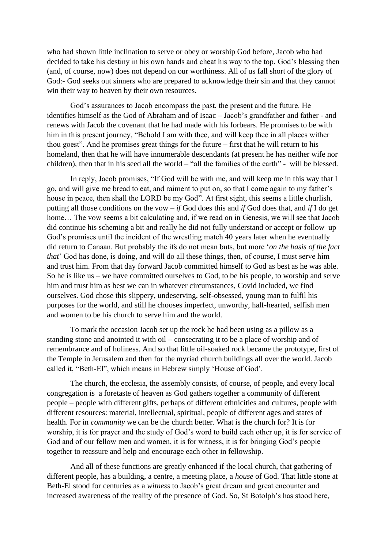who had shown little inclination to serve or obey or worship God before, Jacob who had decided to take his destiny in his own hands and cheat his way to the top. God's blessing then (and, of course, now) does not depend on our worthiness. All of us fall short of the glory of God:- God seeks out sinners who are prepared to acknowledge their sin and that they cannot win their way to heaven by their own resources.

God's assurances to Jacob encompass the past, the present and the future. He identifies himself as the God of Abraham and of Isaac – Jacob's grandfather and father - and renews with Jacob the covenant that he had made with his forbears. He promises to be with him in this present journey, "Behold I am with thee, and will keep thee in all places wither thou goest". And he promises great things for the future – first that he will return to his homeland, then that he will have innumerable descendants (at present he has neither wife nor children), then that in his seed all the world – "all the families of the earth" - will be blessed.

In reply, Jacob promises, "If God will be with me, and will keep me in this way that I go, and will give me bread to eat, and raiment to put on, so that I come again to my father's house in peace, then shall the LORD be my God". At first sight, this seems a little churlish, putting all those conditions on the vow – *if* God does this and *if* God does that, and *if* I do get home... The vow seems a bit calculating and, if we read on in Genesis, we will see that Jacob did continue his scheming a bit and really he did not fully understand or accept or follow up God's promises until the incident of the wrestling match 40 years later when he eventually did return to Canaan. But probably the ifs do not mean buts, but more '*on the basis of the fact that*' God has done, is doing, and will do all these things, then, of course, I must serve him and trust him. From that day forward Jacob committed himself to God as best as he was able. So he is like us – we have committed ourselves to God, to be his people, to worship and serve him and trust him as best we can in whatever circumstances, Covid included, we find ourselves. God chose this slippery, undeserving, self-obsessed, young man to fulfil his purposes for the world, and still he chooses imperfect, unworthy, half-hearted, selfish men and women to be his church to serve him and the world.

To mark the occasion Jacob set up the rock he had been using as a pillow as a standing stone and anointed it with oil – consecrating it to be a place of worship and of remembrance and of holiness. And so that little oil-soaked rock became the prototype, first of the Temple in Jerusalem and then for the myriad church buildings all over the world. Jacob called it, "Beth-El", which means in Hebrew simply 'House of God'.

The church, the ecclesia, the assembly consists, of course, of people, and every local congregation is a foretaste of heaven as God gathers together a community of different people – people with different gifts, perhaps of different ethnicities and cultures, people with different resources: material, intellectual, spiritual, people of different ages and states of health. For in *community* we can be the church better. What is the church for? It is for worship, it is for prayer and the study of God's word to build each other up, it is for service of God and of our fellow men and women, it is for witness, it is for bringing God's people together to reassure and help and encourage each other in fellowship.

And all of these functions are greatly enhanced if the local church, that gathering of different people, has a building, a centre, a meeting place, a *house* of God. That little stone at Beth-El stood for centuries as a *witness* to Jacob's great dream and great encounter and increased awareness of the reality of the presence of God. So, St Botolph's has stood here,